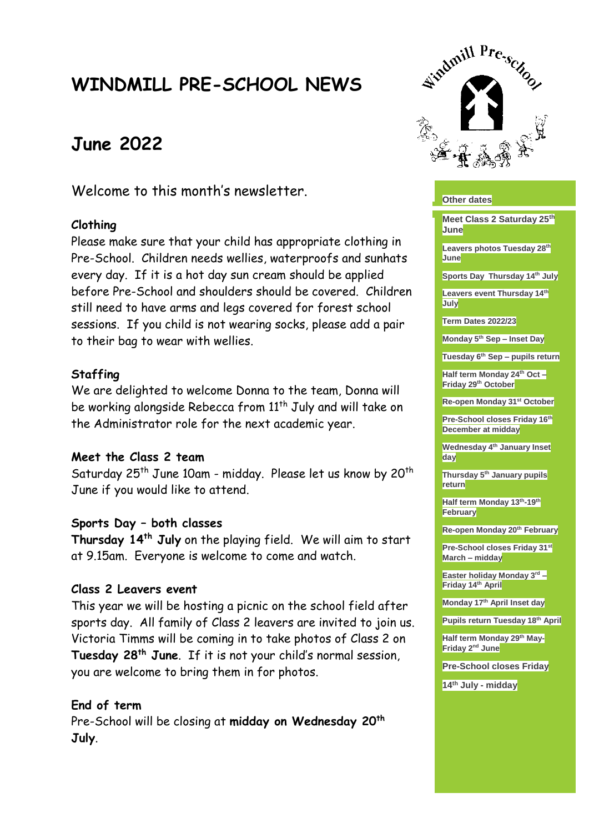# **WINDMILL PRE-SCHOOL NEWS**

# **June 2022**

Welcome to this month's newsletter.

## **Clothing**

Please make sure that your child has appropriate clothing in Pre-School. Children needs wellies, waterproofs and sunhats every day. If it is a hot day sun cream should be applied before Pre-School and shoulders should be covered. Children still need to have arms and legs covered for forest school sessions. If you child is not wearing socks, please add a pair to their bag to wear with wellies.

## **Staffing**

We are delighted to welcome Donna to the team, Donna will be working alongside Rebecca from 11<sup>th</sup> July and will take on the Administrator role for the next academic year.

#### **Meet the Class 2 team**

Saturday 25<sup>th</sup> June 10am - midday. Please let us know by 20<sup>th</sup> June if you would like to attend.

#### **Sports Day – both classes**

**Thursday 14th July** on the playing field. We will aim to start at 9.15am. Everyone is welcome to come and watch.

#### **Class 2 Leavers event**

This year we will be hosting a picnic on the school field after sports day. All family of Class 2 leavers are invited to join us. Victoria Timms will be coming in to take photos of Class 2 on **Tuesday 28th June**. If it is not your child's normal session, you are welcome to bring them in for photos.

## **End of term**

Pre-School will be closing at **midday on Wednesday 20th July**.



#### **Other dates**

**Meet Class 2 Saturday 25th June**

**Leavers photos Tuesday 28th June**

**Sports Day Thursday 14th July** 

**Leavers event Thursday 14th July**

**Term Dates 2022/23**

**Monday 5th Sep – Inset Day**

**Tuesday 6th Sep – pupils return**

**Half term Monday 24th Oct – Friday 29th October**

**Re-open Monday 31st October**

**Pre-School closes Friday 16th December at midday**

**Wednesday 4th January Inset day**

**Thursday 5th January pupils return**

**Half term Monday 13th -19th February**

**Re-open Monday 20th February**

**Pre-School closes Friday 31st March – midday**

**Easter holiday Monday 3rd – Friday 14th April**

**Monday 17th April Inset day**

**Pupils return Tuesday 18th April**

**Half term Monday 29th May-Friday 2nd June**

**Pre-School closes Friday**

**14th July - midday**